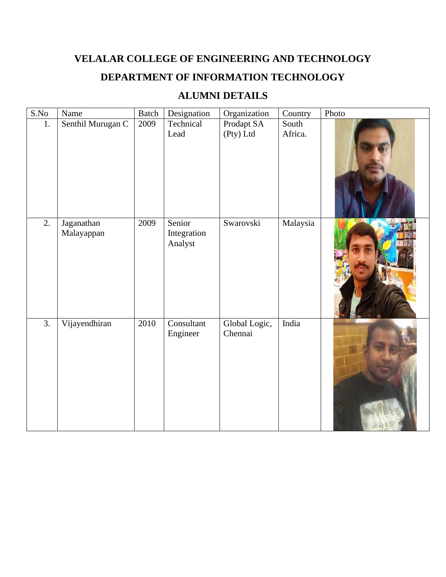## **VELALAR COLLEGE OF ENGINEERING AND TECHNOLOGY**

## **DEPARTMENT OF INFORMATION TECHNOLOGY**

## **ALUMNI DETAILS**

| S.No             | Name                     | <b>Batch</b> | Designation                      | Organization             | Country          | Photo |
|------------------|--------------------------|--------------|----------------------------------|--------------------------|------------------|-------|
| 1.               | Senthil Murugan C        | 2009         | Technical<br>Lead                | Prodapt SA<br>(Pty) Ltd  | South<br>Africa. |       |
| 2.               | Jaganathan<br>Malayappan | 2009         | Senior<br>Integration<br>Analyst | Swarovski                | Malaysia         |       |
| $\overline{3}$ . | Vijayendhiran            | 2010         | Consultant<br>Engineer           | Global Logic,<br>Chennai | India            |       |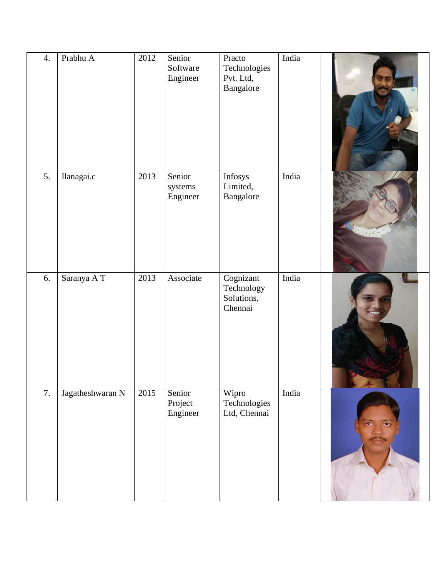| 4. | Prabhu A         | 2012 | Senior<br>Software<br>Engineer | Practo<br>Technologies<br>Pvt. Ltd,<br>Bangalore | India |           |
|----|------------------|------|--------------------------------|--------------------------------------------------|-------|-----------|
| 5. | Ilanagai.c       | 2013 | Senior<br>systems<br>Engineer  | Infosys<br>Limited,<br>Bangalore                 | India |           |
| 6. | Saranya AT       | 2013 | Associate                      | Cognizant<br>Technology<br>Solutions,<br>Chennai | India |           |
| 7. | Jagatheshwaran N | 2015 | Senior<br>Project<br>Engineer  | Wipro<br>Technologies<br>Ltd, Chennai            | India | $\bullet$ |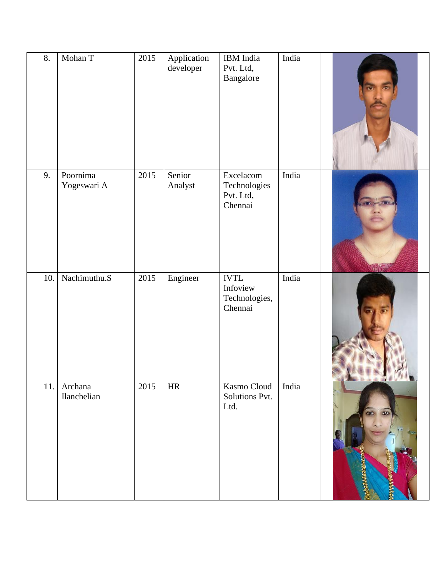| 8.  | Mohan T                 | 2015 | Application<br>developer | IBM India<br>Pvt. Ltd,<br>Bangalore                 | India |                                  |
|-----|-------------------------|------|--------------------------|-----------------------------------------------------|-------|----------------------------------|
| 9.  | Poornima<br>Yogeswari A | 2015 | Senior<br>Analyst        | Excelacom<br>Technologies<br>Pvt. Ltd,<br>Chennai   | India |                                  |
| 10. | Nachimuthu.S            | 2015 | Engineer                 | <b>IVTL</b><br>Infoview<br>Technologies,<br>Chennai | India |                                  |
| 11. | Archana<br>Ilanchelian  | 2015 | $\rm{HR}$                | Kasmo Cloud<br>Solutions Pvt.<br>Ltd.               | India | <b>ARABIAN</b><br><b>Bartist</b> |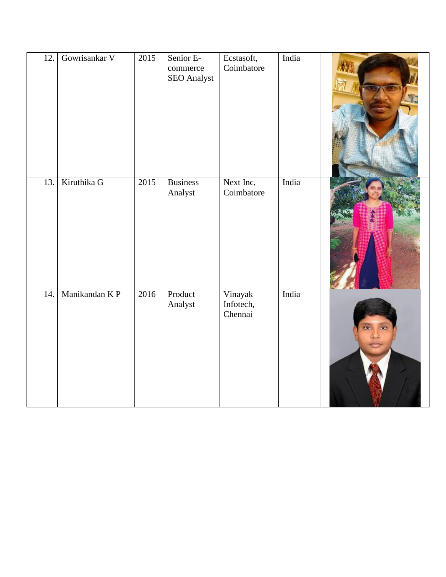| 12. | Gowrisankar V | 2015 | Senior E-<br>commerce<br>SEO Analyst | Ecstasoft,<br>Coimbatore        | India |  |
|-----|---------------|------|--------------------------------------|---------------------------------|-------|--|
| 13. | Kiruthika G   | 2015 | <b>Business</b><br>Analyst           | Next Inc,<br>Coimbatore         | India |  |
| 14. | Manikandan KP | 2016 | Product<br>Analyst                   | Vinayak<br>Infotech,<br>Chennai | India |  |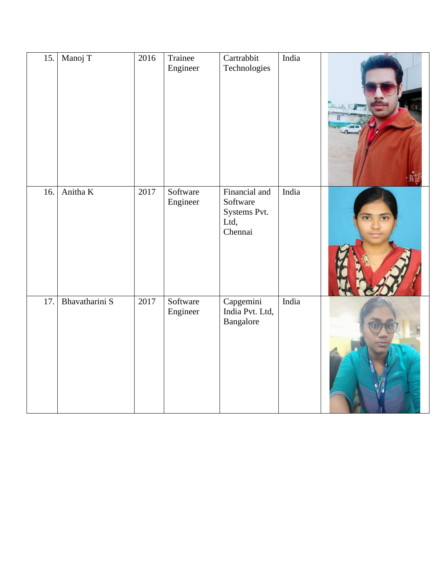| 15. | Manoj T        | 2016 | Trainee<br>Engineer  | Cartrabbit<br>Technologies                                   | India |  |
|-----|----------------|------|----------------------|--------------------------------------------------------------|-------|--|
|     |                |      |                      |                                                              |       |  |
| 16. | Anitha K       | 2017 | Software<br>Engineer | Financial and<br>Software<br>Systems Pvt.<br>Ltd,<br>Chennai | India |  |
| 17. | Bhavatharini S | 2017 | Software<br>Engineer | Capgemini<br>India Pvt. Ltd,<br>Bangalore                    | India |  |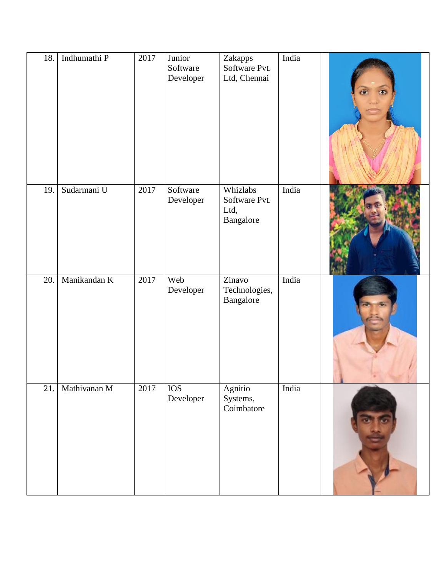| 18. | Indhumathi P | 2017 | Junior<br>Software<br>Developer | Zakapps<br>Software Pvt.<br>Ltd, Chennai       | India |  |
|-----|--------------|------|---------------------------------|------------------------------------------------|-------|--|
| 19. | Sudarmani U  | 2017 | Software<br>Developer           | Whizlabs<br>Software Pvt.<br>Ltd,<br>Bangalore | India |  |
| 20. | Manikandan K | 2017 | Web<br>Developer                | Zinavo<br>Technologies,<br>Bangalore           | India |  |
| 21. | Mathivanan M | 2017 | <b>IOS</b><br>Developer         | Agnitio<br>Systems,<br>Coimbatore              | India |  |